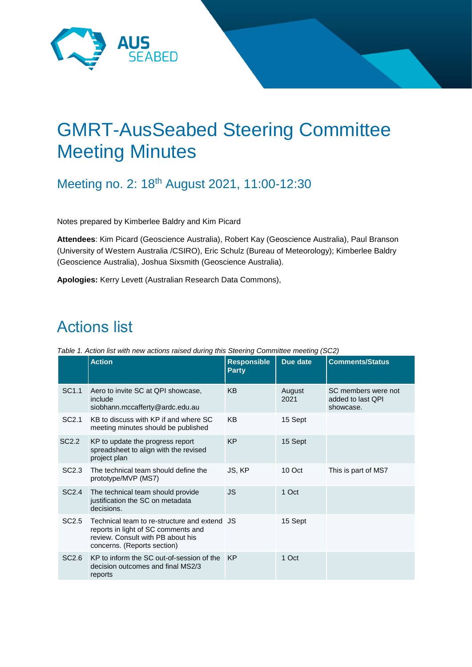

# GMRT-AusSeabed Steering Committee Meeting Minutes

Meeting no. 2: 18<sup>th</sup> August 2021, 11:00-12:30

Notes prepared by Kimberlee Baldry and Kim Picard

**Attendees**: Kim Picard (Geoscience Australia), Robert Kay (Geoscience Australia), Paul Branson (University of Western Australia /CSIRO), Eric Schulz (Bureau of Meteorology); Kimberlee Baldry (Geoscience Australia), Joshua Sixsmith (Geoscience Australia).

**Apologies:** Kerry Levett (Australian Research Data Commons),

## Actions list

|  | Table 1. Action list with new actions raised during this Steering Committee meeting (SC2) |  |  |  |  |
|--|-------------------------------------------------------------------------------------------|--|--|--|--|
|  |                                                                                           |  |  |  |  |

|                   | <b>Action</b>                                                                                                                                           | <b>Responsible</b><br><b>Party</b> | Due date       | <b>Comments/Status</b>                                |
|-------------------|---------------------------------------------------------------------------------------------------------------------------------------------------------|------------------------------------|----------------|-------------------------------------------------------|
| SC <sub>1.1</sub> | Aero to invite SC at QPI showcase,<br>include<br>siobhann.mccafferty@ardc.edu.au                                                                        | <b>KB</b>                          | August<br>2021 | SC members were not<br>added to last QPI<br>showcase. |
| SC <sub>2.1</sub> | KB to discuss with KP if and where SC<br>meeting minutes should be published                                                                            | KB                                 | 15 Sept        |                                                       |
| SC <sub>2.2</sub> | KP to update the progress report<br>spreadsheet to align with the revised<br>project plan                                                               | <b>KP</b>                          | 15 Sept        |                                                       |
| SC2.3             | The technical team should define the<br>prototype/MVP (MS7)                                                                                             | JS, KP                             | 10 Oct         | This is part of MS7                                   |
| SC2.4             | The technical team should provide<br>justification the SC on metadata<br>decisions.                                                                     | JS                                 | 1 Oct          |                                                       |
| SC <sub>2.5</sub> | Technical team to re-structure and extend JS<br>reports in light of SC comments and<br>review. Consult with PB about his<br>concerns. (Reports section) |                                    | 15 Sept        |                                                       |
| SC <sub>2.6</sub> | KP to inform the SC out-of-session of the<br>decision outcomes and final MS2/3<br>reports                                                               | KP                                 | 1 Oct          |                                                       |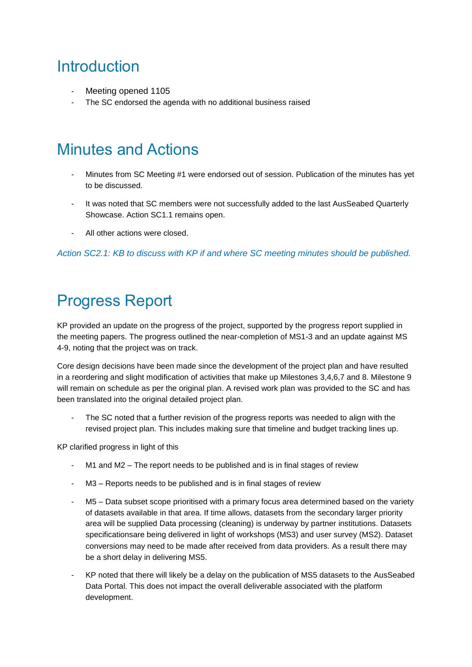### **Introduction**

- Meeting opened 1105
- The SC endorsed the agenda with no additional business raised

### Minutes and Actions

- Minutes from SC Meeting #1 were endorsed out of session. Publication of the minutes has yet to be discussed.
- It was noted that SC members were not successfully added to the last AusSeabed Quarterly Showcase. Action SC1.1 remains open.
- All other actions were closed.

*Action SC2.1: KB to discuss with KP if and where SC meeting minutes should be published.*

## Progress Report

KP provided an update on the progress of the project, supported by the progress report supplied in the meeting papers. The progress outlined the near-completion of MS1-3 and an update against MS 4-9, noting that the project was on track.

Core design decisions have been made since the development of the project plan and have resulted in a reordering and slight modification of activities that make up Milestones 3,4,6,7 and 8. Milestone 9 will remain on schedule as per the original plan. A revised work plan was provided to the SC and has been translated into the original detailed project plan.

The SC noted that a further revision of the progress reports was needed to align with the revised project plan. This includes making sure that timeline and budget tracking lines up.

KP clarified progress in light of this

- M1 and M2 The report needs to be published and is in final stages of review
- M3 Reports needs to be published and is in final stages of review
- M5 Data subset scope prioritised with a primary focus area determined based on the variety of datasets available in that area. If time allows, datasets from the secondary larger priority area will be supplied Data processing (cleaning) is underway by partner institutions. Datasets specificationsare being delivered in light of workshops (MS3) and user survey (MS2). Dataset conversions may need to be made after received from data providers. As a result there may be a short delay in delivering MS5.
- KP noted that there will likely be a delay on the publication of MS5 datasets to the AusSeabed Data Portal. This does not impact the overall deliverable associated with the platform development.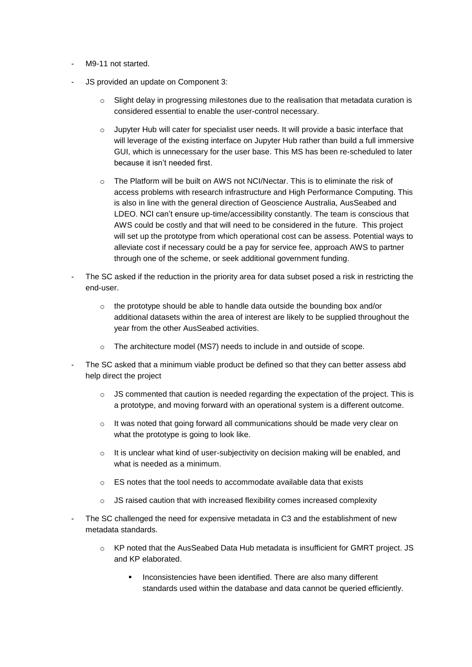- M9-11 not started.
- JS provided an update on Component 3:
	- Slight delay in progressing milestones due to the realisation that metadata curation is considered essential to enable the user-control necessary.
	- $\circ$  Jupyter Hub will cater for specialist user needs. It will provide a basic interface that will leverage of the existing interface on Jupyter Hub rather than build a full immersive GUI, which is unnecessary for the user base. This MS has been re-scheduled to later because it isn't needed first.
	- o The Platform will be built on AWS not NCI/Nectar. This is to eliminate the risk of access problems with research infrastructure and High Performance Computing. This is also in line with the general direction of Geoscience Australia, AusSeabed and LDEO. NCI can't ensure up-time/accessibility constantly. The team is conscious that AWS could be costly and that will need to be considered in the future. This project will set up the prototype from which operational cost can be assess. Potential ways to alleviate cost if necessary could be a pay for service fee, approach AWS to partner through one of the scheme, or seek additional government funding.
- The SC asked if the reduction in the priority area for data subset posed a risk in restricting the end-user.
	- o the prototype should be able to handle data outside the bounding box and/or additional datasets within the area of interest are likely to be supplied throughout the year from the other AusSeabed activities.
	- The architecture model (MS7) needs to include in and outside of scope.
- The SC asked that a minimum viable product be defined so that they can better assess abd help direct the project
	- o JS commented that caution is needed regarding the expectation of the project. This is a prototype, and moving forward with an operational system is a different outcome.
	- $\circ$  It was noted that going forward all communications should be made very clear on what the prototype is going to look like.
	- $\circ$  It is unclear what kind of user-subjectivity on decision making will be enabled, and what is needed as a minimum.
	- o ES notes that the tool needs to accommodate available data that exists
	- $\circ$  JS raised caution that with increased flexibility comes increased complexity
- The SC challenged the need for expensive metadata in C3 and the establishment of new metadata standards.
	- o KP noted that the AusSeabed Data Hub metadata is insufficient for GMRT project. JS and KP elaborated.
		- Inconsistencies have been identified. There are also many different standards used within the database and data cannot be queried efficiently.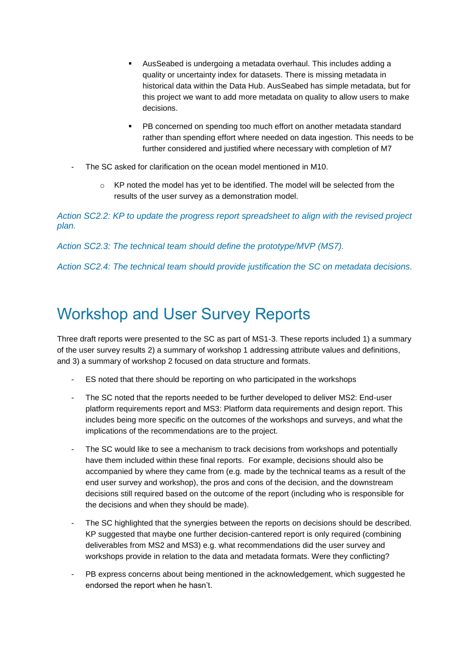- AusSeabed is undergoing a metadata overhaul. This includes adding a quality or uncertainty index for datasets. There is missing metadata in historical data within the Data Hub. AusSeabed has simple metadata, but for this project we want to add more metadata on quality to allow users to make decisions.
- **PB concerned on spending too much effort on another metadata standard** rather than spending effort where needed on data ingestion. This needs to be further considered and justified where necessary with completion of M7
- The SC asked for clarification on the ocean model mentioned in M10.
	- o KP noted the model has yet to be identified. The model will be selected from the results of the user survey as a demonstration model.

*Action SC2.2: KP to update the progress report spreadsheet to align with the revised project plan.*

*Action SC2.3: The technical team should define the prototype/MVP (MS7).* 

*Action SC2.4: The technical team should provide justification the SC on metadata decisions.*

### Workshop and User Survey Reports

Three draft reports were presented to the SC as part of MS1-3. These reports included 1) a summary of the user survey results 2) a summary of workshop 1 addressing attribute values and definitions, and 3) a summary of workshop 2 focused on data structure and formats.

- ES noted that there should be reporting on who participated in the workshops
- The SC noted that the reports needed to be further developed to deliver MS2: End-user platform requirements report and MS3: Platform data requirements and design report. This includes being more specific on the outcomes of the workshops and surveys, and what the implications of the recommendations are to the project.
- The SC would like to see a mechanism to track decisions from workshops and potentially have them included within these final reports. For example, decisions should also be accompanied by where they came from (e.g. made by the technical teams as a result of the end user survey and workshop), the pros and cons of the decision, and the downstream decisions still required based on the outcome of the report (including who is responsible for the decisions and when they should be made).
- The SC highlighted that the synergies between the reports on decisions should be described. KP suggested that maybe one further decision-cantered report is only required (combining deliverables from MS2 and MS3) e.g. what recommendations did the user survey and workshops provide in relation to the data and metadata formats. Were they conflicting?
- PB express concerns about being mentioned in the acknowledgement, which suggested he endorsed the report when he hasn't.